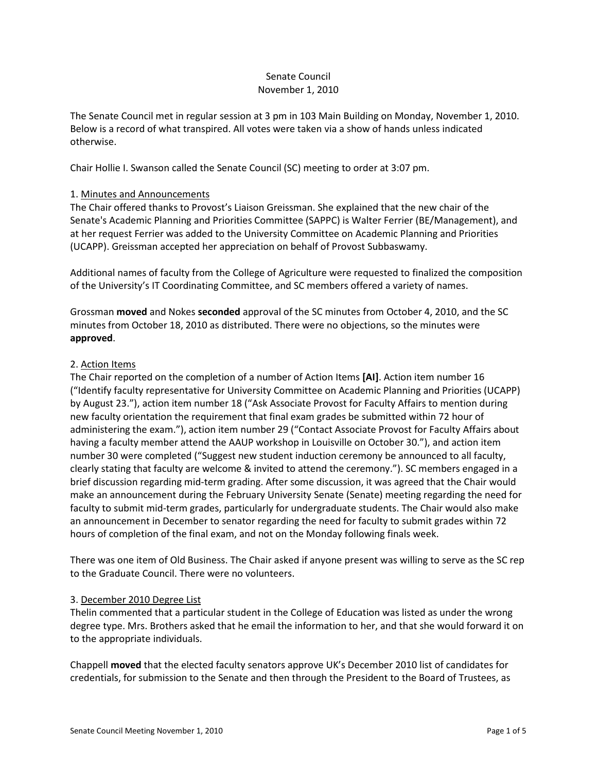### Senate Council November 1, 2010

The Senate Council met in regular session at 3 pm in 103 Main Building on Monday, November 1, 2010. Below is a record of what transpired. All votes were taken via a show of hands unless indicated otherwise.

Chair Hollie I. Swanson called the Senate Council (SC) meeting to order at 3:07 pm.

# 1. Minutes and Announcements

The Chair offered thanks to Provost's Liaison Greissman. She explained that the new chair of the Senate's Academic Planning and Priorities Committee (SAPPC) is Walter Ferrier (BE/Management), and at her request Ferrier was added to the University Committee on Academic Planning and Priorities (UCAPP). Greissman accepted her appreciation on behalf of Provost Subbaswamy.

Additional names of faculty from the College of Agriculture were requested to finalized the composition of the University's IT Coordinating Committee, and SC members offered a variety of names.

Grossman **moved** and Nokes **seconded** approval of the SC minutes from October 4, 2010, and the SC minutes from October 18, 2010 as distributed. There were no objections, so the minutes were **approved**.

### 2. Action Items

The Chair reported on the completion of a number of Action Items **[AI]**. Action item number 16 ("Identify faculty representative for University Committee on Academic Planning and Priorities (UCAPP) by August 23."), action item number 18 ("Ask Associate Provost for Faculty Affairs to mention during new faculty orientation the requirement that final exam grades be submitted within 72 hour of administering the exam."), action item number 29 ("Contact Associate Provost for Faculty Affairs about having a faculty member attend the AAUP workshop in Louisville on October 30."), and action item number 30 were completed ("Suggest new student induction ceremony be announced to all faculty, clearly stating that faculty are welcome & invited to attend the ceremony."). SC members engaged in a brief discussion regarding mid-term grading. After some discussion, it was agreed that the Chair would make an announcement during the February University Senate (Senate) meeting regarding the need for faculty to submit mid-term grades, particularly for undergraduate students. The Chair would also make an announcement in December to senator regarding the need for faculty to submit grades within 72 hours of completion of the final exam, and not on the Monday following finals week.

There was one item of Old Business. The Chair asked if anyone present was willing to serve as the SC rep to the Graduate Council. There were no volunteers.

# 3. December 2010 Degree List

Thelin commented that a particular student in the College of Education was listed as under the wrong degree type. Mrs. Brothers asked that he email the information to her, and that she would forward it on to the appropriate individuals.

Chappell **moved** that the elected faculty senators approve UK's December 2010 list of candidates for credentials, for submission to the Senate and then through the President to the Board of Trustees, as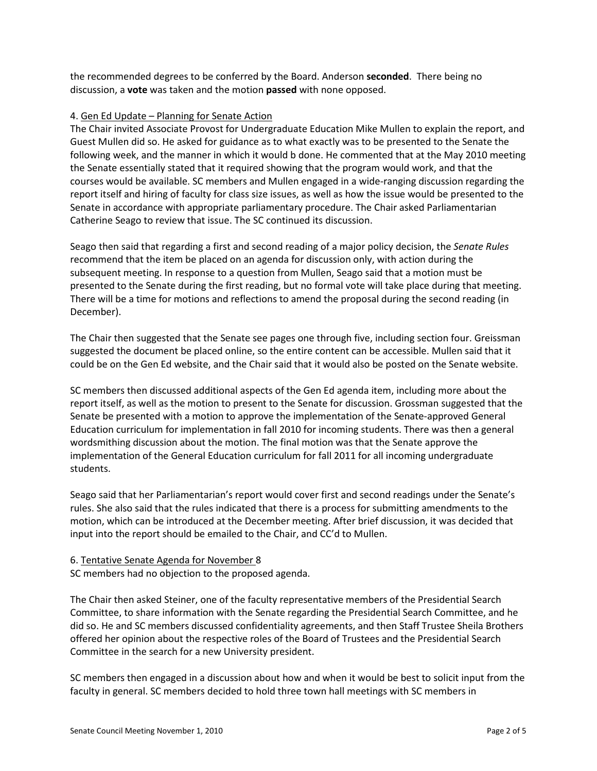the recommended degrees to be conferred by the Board. Anderson **seconded**. There being no discussion, a **vote** was taken and the motion **passed** with none opposed.

### 4. Gen Ed Update – Planning for Senate Action

The Chair invited Associate Provost for Undergraduate Education Mike Mullen to explain the report, and Guest Mullen did so. He asked for guidance as to what exactly was to be presented to the Senate the following week, and the manner in which it would b done. He commented that at the May 2010 meeting the Senate essentially stated that it required showing that the program would work, and that the courses would be available. SC members and Mullen engaged in a wide-ranging discussion regarding the report itself and hiring of faculty for class size issues, as well as how the issue would be presented to the Senate in accordance with appropriate parliamentary procedure. The Chair asked Parliamentarian Catherine Seago to review that issue. The SC continued its discussion.

Seago then said that regarding a first and second reading of a major policy decision, the *Senate Rules*  recommend that the item be placed on an agenda for discussion only, with action during the subsequent meeting. In response to a question from Mullen, Seago said that a motion must be presented to the Senate during the first reading, but no formal vote will take place during that meeting. There will be a time for motions and reflections to amend the proposal during the second reading (in December).

The Chair then suggested that the Senate see pages one through five, including section four. Greissman suggested the document be placed online, so the entire content can be accessible. Mullen said that it could be on the Gen Ed website, and the Chair said that it would also be posted on the Senate website.

SC members then discussed additional aspects of the Gen Ed agenda item, including more about the report itself, as well as the motion to present to the Senate for discussion. Grossman suggested that the Senate be presented with a motion to approve the implementation of the Senate-approved General Education curriculum for implementation in fall 2010 for incoming students. There was then a general wordsmithing discussion about the motion. The final motion was that the Senate approve the implementation of the General Education curriculum for fall 2011 for all incoming undergraduate students.

Seago said that her Parliamentarian's report would cover first and second readings under the Senate's rules. She also said that the rules indicated that there is a process for submitting amendments to the motion, which can be introduced at the December meeting. After brief discussion, it was decided that input into the report should be emailed to the Chair, and CC'd to Mullen.

# 6. Tentative Senate Agenda for November 8

SC members had no objection to the proposed agenda.

The Chair then asked Steiner, one of the faculty representative members of the Presidential Search Committee, to share information with the Senate regarding the Presidential Search Committee, and he did so. He and SC members discussed confidentiality agreements, and then Staff Trustee Sheila Brothers offered her opinion about the respective roles of the Board of Trustees and the Presidential Search Committee in the search for a new University president.

SC members then engaged in a discussion about how and when it would be best to solicit input from the faculty in general. SC members decided to hold three town hall meetings with SC members in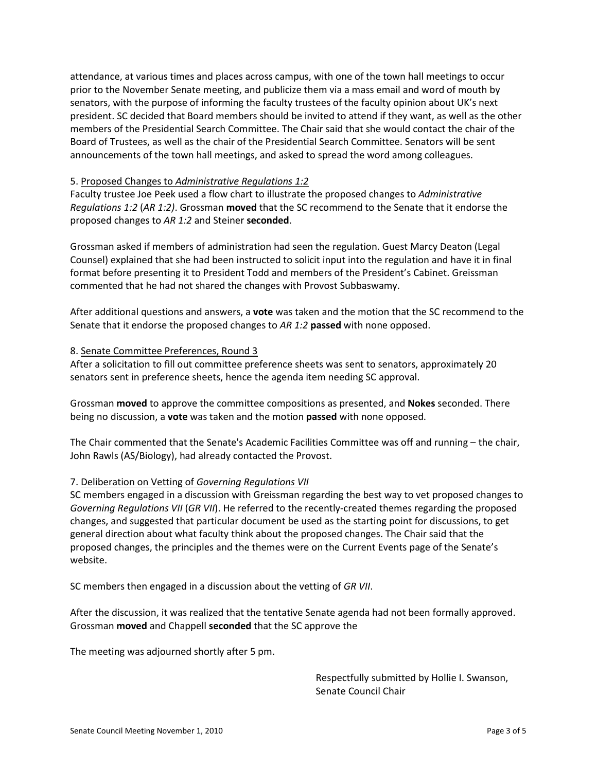attendance, at various times and places across campus, with one of the town hall meetings to occur prior to the November Senate meeting, and publicize them via a mass email and word of mouth by senators, with the purpose of informing the faculty trustees of the faculty opinion about UK's next president. SC decided that Board members should be invited to attend if they want, as well as the other members of the Presidential Search Committee. The Chair said that she would contact the chair of the Board of Trustees, as well as the chair of the Presidential Search Committee. Senators will be sent announcements of the town hall meetings, and asked to spread the word among colleagues.

### 5. Proposed Changes to *Administrative Regulations 1:2*

Faculty trustee Joe Peek used a flow chart to illustrate the proposed changes to *Administrative Regulations 1:2* (*AR 1:2)*. Grossman **moved** that the SC recommend to the Senate that it endorse the proposed changes to *AR 1:2* and Steiner **seconded**.

Grossman asked if members of administration had seen the regulation. Guest Marcy Deaton (Legal Counsel) explained that she had been instructed to solicit input into the regulation and have it in final format before presenting it to President Todd and members of the President's Cabinet. Greissman commented that he had not shared the changes with Provost Subbaswamy.

After additional questions and answers, a **vote** was taken and the motion that the SC recommend to the Senate that it endorse the proposed changes to *AR 1:2* **passed** with none opposed.

### 8. Senate Committee Preferences, Round 3

After a solicitation to fill out committee preference sheets was sent to senators, approximately 20 senators sent in preference sheets, hence the agenda item needing SC approval.

Grossman **moved** to approve the committee compositions as presented, and **Nokes** seconded. There being no discussion, a **vote** was taken and the motion **passed** with none opposed.

The Chair commented that the Senate's Academic Facilities Committee was off and running – the chair, John Rawls (AS/Biology), had already contacted the Provost.

# 7. Deliberation on Vetting of *Governing Regulations VII*

SC members engaged in a discussion with Greissman regarding the best way to vet proposed changes to *Governing Regulations VII* (*GR VII*). He referred to the recently-created themes regarding the proposed changes, and suggested that particular document be used as the starting point for discussions, to get general direction about what faculty think about the proposed changes. The Chair said that the proposed changes, the principles and the themes were on the Current Events page of the Senate's website.

SC members then engaged in a discussion about the vetting of *GR VII*.

After the discussion, it was realized that the tentative Senate agenda had not been formally approved. Grossman **moved** and Chappell **seconded** that the SC approve the

The meeting was adjourned shortly after 5 pm.

Respectfully submitted by Hollie I. Swanson, Senate Council Chair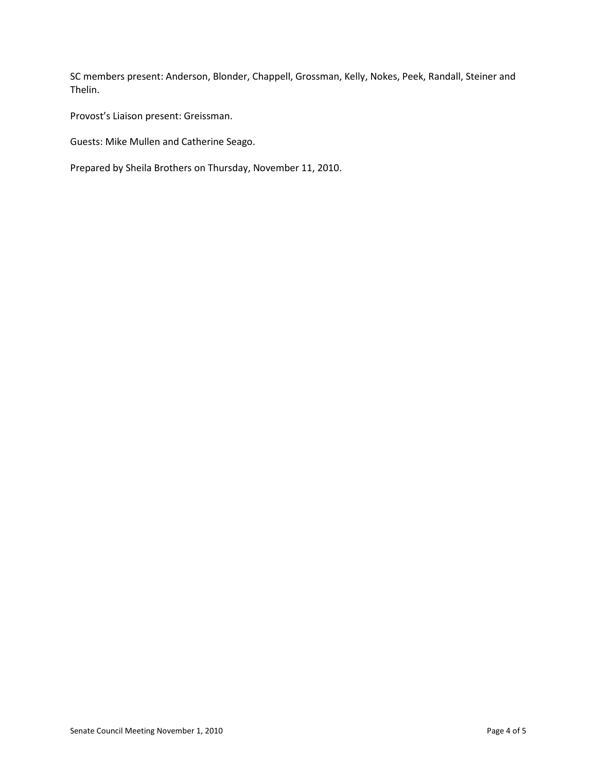SC members present: Anderson, Blonder, Chappell, Grossman, Kelly, Nokes, Peek, Randall, Steiner and Thelin.

Provost's Liaison present: Greissman.

Guests: Mike Mullen and Catherine Seago.

Prepared by Sheila Brothers on Thursday, November 11, 2010.